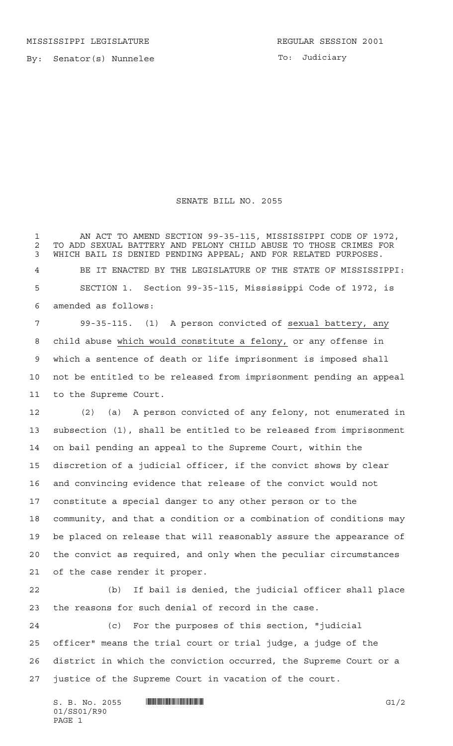By: Senator(s) Nunnelee

To: Judiciary

## SENATE BILL NO. 2055

 AN ACT TO AMEND SECTION 99-35-115, MISSISSIPPI CODE OF 1972, 2 TO ADD SEXUAL BATTERY AND FELONY CHILD ABUSE TO THOSE CRIMES FOR<br>3 WHICH BAIL IS DENIED PENDING APPEAL: AND FOR RELATED PURPOSES. WHICH BAIL IS DENIED PENDING APPEAL; AND FOR RELATED PURPOSES. BE IT ENACTED BY THE LEGISLATURE OF THE STATE OF MISSISSIPPI: SECTION 1. Section 99-35-115, Mississippi Code of 1972, is amended as follows: 99-35-115. (1) A person convicted of sexual battery, any

 child abuse which would constitute a felony, or any offense in which a sentence of death or life imprisonment is imposed shall not be entitled to be released from imprisonment pending an appeal to the Supreme Court.

 (2) (a) A person convicted of any felony, not enumerated in subsection (1), shall be entitled to be released from imprisonment on bail pending an appeal to the Supreme Court, within the discretion of a judicial officer, if the convict shows by clear and convincing evidence that release of the convict would not constitute a special danger to any other person or to the community, and that a condition or a combination of conditions may be placed on release that will reasonably assure the appearance of the convict as required, and only when the peculiar circumstances of the case render it proper.

 (b) If bail is denied, the judicial officer shall place the reasons for such denial of record in the case.

 (c) For the purposes of this section, "judicial officer" means the trial court or trial judge, a judge of the district in which the conviction occurred, the Supreme Court or a justice of the Supreme Court in vacation of the court.

 $S. B. No. 2055$  ...  $\blacksquare$   $\blacksquare$   $\blacksquare$   $\blacksquare$   $\blacksquare$   $\blacksquare$   $\blacksquare$   $\blacksquare$   $\blacksquare$   $\blacksquare$   $\blacksquare$   $\blacksquare$   $\blacksquare$   $\blacksquare$   $\blacksquare$   $\blacksquare$   $\blacksquare$   $\blacksquare$   $\blacksquare$   $\blacksquare$   $\blacksquare$   $\blacksquare$   $\blacksquare$   $\blacksquare$   $\blacksquare$   $\blacksquare$   $\blacksquare$   $\blacksquare$   $\blacksquare$  01/SS01/R90 PAGE 1